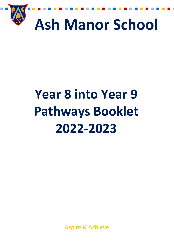

# **Year 8 into Year 9 Pathways Booklet 2022-2023**

Aspire & Achieve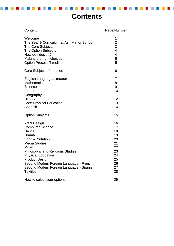### **Contents**

 $\sim$ 

------

m.

**Contract** 

 $\mathcal{L}^{\text{max}}$ 

 $\sim$ 

 $\mathbb{R}^n$  .

 $\mathcal{L}_{\mathcal{A}}$ 

Т

| Content                                                                                                                                                                                                                                                                                                                          | Page Number                                                                     |
|----------------------------------------------------------------------------------------------------------------------------------------------------------------------------------------------------------------------------------------------------------------------------------------------------------------------------------|---------------------------------------------------------------------------------|
| Welcome<br>The Year 9 Curriculum at Ash Manor School<br>The Core Subjects<br>The Option Subjects<br>How do I decide?<br>Making the right choices<br><b>Option Process Timeline</b>                                                                                                                                               | 1<br>$\overline{c}$<br>3<br>$\overline{\mathbf{4}}$<br>$\overline{4}$<br>5<br>5 |
| Core Subject Information                                                                                                                                                                                                                                                                                                         | 6                                                                               |
| English Language/Literature<br><b>Mathematics</b><br>Science<br>French<br>Geography<br><b>History</b><br><b>Core Physical Education</b><br>Spanish                                                                                                                                                                               | 7<br>8<br>9<br>10<br>11<br>12<br>13<br>14                                       |
| <b>Option Subjects</b>                                                                                                                                                                                                                                                                                                           | 15                                                                              |
| Art & Design<br><b>Computer Science</b><br>Dance<br>Drama<br>Food & Nutrition<br><b>Media Studies</b><br><b>Music</b><br><b>Philosophy and Religious Studies</b><br><b>Physical Education</b><br><b>Product Design</b><br>Second Modern Foreign Language - French<br>Second Modern Foreign Language - Spanish<br><b>Textiles</b> | 16<br>17<br>18<br>19<br>20<br>21<br>22<br>23<br>24<br>25<br>26<br>27<br>28      |
| How to select your options                                                                                                                                                                                                                                                                                                       | 29                                                                              |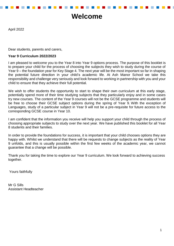### **Welcome**

April 2022

Dear students, parents and carers,

#### **Year 9 Curriculum 2022/2023**

I am pleased to welcome you to the Year 8 into Year 9 options process. The purpose of this booklet is to prepare your child for the process of choosing the subjects they wish to study during the course of Year 9 – the foundation year for Key Stage 4. The next year will be the most important so far in shaping the potential future direction in your child's academic life. At Ash Manor School we take this responsibility and challenge very seriously and look forward to working in partnership with you and your child to ensure that they achieve their full potential.

We wish to offer students the opportunity to start to shape their own curriculum at this early stage, potentially spend more of their time studying subjects that they particularly enjoy and in some cases try new courses. The content of the Year 9 courses will not be the GCSE programme and students will be free to choose their GCSE subject options during the spring of Year 9. With the exception of Languages, study of a particular subject in Year 9 will not be a pre-requisite for future access to the corresponding GCSE course in Year 10.

I am confident that the information you receive will help you support your child through the process of choosing appropriate subjects to study over the next year. We have published this booklet for all Year 8 students and their families.

In order to provide the foundations for success, it is important that your child chooses options they are happy with. Whilst we understand that there will be requests to change subjects as the reality of Year 9 unfolds, and this is usually possible within the first few weeks of the academic year, we cannot guarantee that a change will be possible.

Thank you for taking the time to explore our Year 9 curriculum. We look forward to achieving success together.

Yours faithfully

Mr G Sills Assistant Headteacher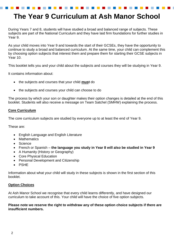### **The Year 9 Curriculum at Ash Manor School**

During Years 7 and 8, students will have studied a broad and balanced range of subjects. These subjects are part of the National Curriculum and they have laid firm foundations for further studies in Year 9.

As your child moves into Year 9 and towards the start of their GCSEs, they have the opportunity to continue to study a broad and balanced curriculum. At the same time, your child can complement this by choosing option subjects that interest them and prepare them for starting their GCSE subjects in Year 10.

This booklet tells you and your child about the subjects and courses they will be studying in Year 9.

It contains information about:

- the subjects and courses that your child **must** do
- the subjects and courses your child can choose to do

The process by which your son or daughter makes their option changes is detailed at the end of this booklet. Students will also receive a message on Team Satchel (SMHW) explaining the process.

#### **Core Curriculum**

The core curriculum subjects are studied by everyone up to at least the end of Year 9.

These are:

- English Language and English Literature
- Mathematics
- Science
- French or Spanish **the language you study in Year 8 will also be studied in Year 9**
- A Humanity (History or Geography)
- Core Physical Education
- Personal Development and Citizenship
- PSHE

Information about what your child will study in these subjects is shown in the first section of this booklet.

#### **Option Choices**

At Ash Manor School we recognise that every child learns differently, and have designed our curriculum to take account of this. Your child will have the choice of five option subjects.

#### **Please note we reserve the right to withdraw any of these option choice subjects if there are insufficient numbers.**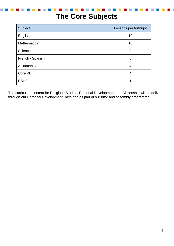### **The Core Subjects**

| Subject            | Lessons per fortnight |
|--------------------|-----------------------|
| English            | 10                    |
| <b>Mathematics</b> | 10                    |
| Science            | 9                     |
| French / Spanish   | 6                     |
| A Humanity         | 4                     |
| Core PE            | 4                     |
| <b>PSHE</b>        |                       |

The curriculum content for Religious Studies, Personal Development and Citizenship will be delivered through our Personal Development Days and as part of our tutor and assembly programme.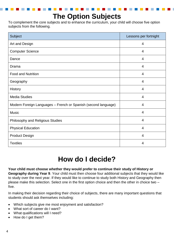### **The Option Subjects**

To complement the core subjects and to enhance the curriculum, your child will choose five option subjects from the following.

| Subject                                                        | Lessons per fortnight |
|----------------------------------------------------------------|-----------------------|
| Art and Design                                                 | 4                     |
| <b>Computer Science</b>                                        | $\overline{4}$        |
| Dance                                                          | 4                     |
| Drama                                                          | $\overline{4}$        |
| <b>Food and Nutrition</b>                                      | 4                     |
| Geography                                                      | $\overline{4}$        |
| <b>History</b>                                                 | 4                     |
| <b>Media Studies</b>                                           | $\overline{4}$        |
| Modern Foreign Languages - French or Spanish (second language) | 4                     |
| <b>Music</b>                                                   | $\overline{4}$        |
| Philosophy and Religious Studies                               | 4                     |
| <b>Physical Education</b>                                      | $\overline{4}$        |
| <b>Product Design</b>                                          | 4                     |
| <b>Textiles</b>                                                | 4                     |

### **How do I decide?**

**Your child must choose whether they would prefer to continue their study of History or Geography during Year 9**. Your child must then choose four additional subjects that they would like to study over the next year. If they would like to continue to study both History and Geography then please make this selection. Select one in the first option choice and then the other in choice two – five.

In making their decision regarding their choice of subjects, there are many important questions that students should ask themselves including:

- Which subjects give me most enjoyment and satisfaction?
- What sort of career do I want?
- What qualifications will I need?
- How do I get them?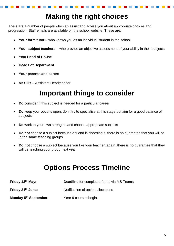### **Making the right choices**

There are a number of people who can assist and advise you about appropriate choices and progression. Staff emails are available on the school website. These are:

- **Your form tutor** who knows you as an individual student in the school
- **Your subject teachers** who provide an objective assessment of your ability in their subjects
- Your **Head of House**
- **Heads of Department**
- **Your parents and carers**
- **Mr Sills** Assistant Headteacher

### **Important things to consider**

- **Do** consider if this subject is needed for a particular career
- **Do** keep your options open; don't try to specialise at this stage but aim for a good balance of subjects
- **Do** work to your own strengths and choose appropriate subjects
- **Do not** choose a subject because a friend is choosing it; there is no guarantee that you will be in the same teaching groups
- **Do not** choose a subject because you like your teacher; again, there is no guarantee that they will be teaching your group next year

### **Options Process Timeline**

| Friday 13 <sup>th</sup> May:      | <b>Deadline</b> for completed forms via MS Teams |
|-----------------------------------|--------------------------------------------------|
| Friday 24 <sup>th</sup> June:     | Notification of option allocations               |
| Monday 5 <sup>th</sup> September: | Year 9 courses begin.                            |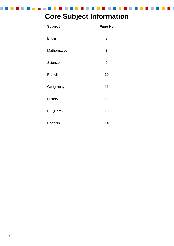### **Core Subject Information**

**Contract Contract** 

n.

| <b>Subject</b>     | <b>Page No</b> |
|--------------------|----------------|
| English            | 7              |
| <b>Mathematics</b> | 8              |
| Science            | 9              |
| French             | 10             |
| Geography          | 11             |
| <b>History</b>     | 12             |
| PE (Core)          | 13             |
| Spanish            | 14             |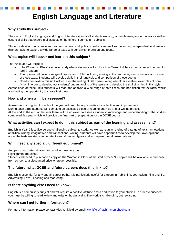### **Why study this subject?**

The study of English Language and English Literature affords all students exciting, vibrant learning opportunities as well as essential skills that underpin all aspects of the different curriculum subjects.

Students develop confidence as readers, writers and public speakers as well as becoming independent and mature thinkers, able to explore a wide range of texts with sensitivity, precision and focus.

#### **What topics will I cover and learn in this subject?**

The Y9 course will include:

- 'The Woman in Black' a novel study where students will explore how Susan Hill has expertly crafted her text to terrify readers.
- Poetry we will cover a range of poetry from 1794 until now, looking at the language, form, structure and context of these texts. Students will develop skills in their analysis and comparison of these poems.
- Non-Fiction texts this unit will focus on the writing of Bill Bryson, alongside other excellent examples of nonfiction in order to develop our students' understanding of the genre and develop the skill of writing in this style.

Across each of these units students will read and analyse a wide range of both fiction and non-fiction text extracts, whilst also having the opportunity to create their own.

#### **How and when will I be assessed?**

Assessment is ongoing throughout the year with regular opportunities for reflection and improvement.

During each term, students will complete an assessed piece of reading analysis and/or writing practice.

At the end at the end of the year there will be an exam to assess students' knowledge and understanding of the studies completed this year which will provide the final part of preparation for the GCSE course.

#### **What activities can I expect to do in this subject as part of the learning and assessment?**

English in Year 9 is a diverse and challenging subject to study. As well as regular reading of a range of texts, annotations, analytical writing, imaginative and transactional writing, students will have opportunities to develop their own opinions about the texts we study, to debate, to transform text types and to prepare formal presentations.

#### **Will I need any special / different equipment?**

An open mind, determination and a willingness to excel.

Highlighters are useful.

Students will need to purchase a copy of The Woman in Black at the start of Year 9 – copies will be available to purchase from school, at a discounted price wherever possible.

#### **The future: what GCSE and future careers does this link to?**

English is essential for any and all career paths. It is particularly useful for careers in Publishing, Journalism, Film and TV, Advertising, Law, Teaching and Marketing.

#### **Is there anything else I need to know?**

English is a compulsory subject and will require a positive attitude and a dedication to your studies. In order to succeed, you must be willing to read widely and write enthusiastically. The work is challenging, but rewarding.

#### **Where can I get further information?**

For more information please contact Miss Whitfield by email: [cwhitfield@ashmanorschool.com](mailto:cwhitfield@ashmanorschool.com)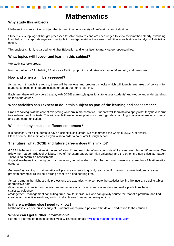### **Mathematics**

#### **Why study this subject?**

Mathematics is an exciting subject that is used in a huge variety of professions and industries.

Students develop logical thought processes to solve problems and are encouraged to show their method clearly, extending knowledge to incorporate algebraic manipulation and geometrical theorems in addition to sophisticated analysis of statistical tables.

This subject is highly regarded for Higher Education and lends itself to many career opportunities.

#### **What topics will I cover and learn in this subject?**

We study six topic areas:

Number / Algebra / Probability / Statistics / Radio, proportion and rates of change / Geometry and measures

#### **How and when will I be assessed?**

As we work through the topics, there will be reviews and progress checks which will identify any areas of concern for students to focus on in future lessons or as part of home learning.

Each term there will be a tiered exam, with GCSE exam style questions, to assess students' knowledge and understanding so far in the course.

#### **What activities can I expect to do in this subject as part of the learning and assessment?**

Problem solving is at the core of everything we learn in mathematics. Students' will learn how to apply what they have learnt to a wide range of contexts. This will enable them to develop skills such as logic, data handling, spatial awareness, accuracy and good communication.

#### **Will I need any special / different equipment?**

It is necessary for all students to have a scientific calculator. We recommend the Casio fx-83GTX or similar. Please contact the main office if you wish to order a calculator through school.

#### **The future: what GCSE and future careers does this link to?**

GCSE Mathematics is taken at the end of Year 11 and each tier of entry consists of 3 exams, each lasting 90 minutes. We follow the Pearson Edexcel syllabus. Two of the exam papers permit a calculator and the other is a non-calculator paper. There is no controlled assessment.

A good mathematical background is necessary for all walks of life. Furthermore, these are examples of Mathematics careers:

*Engineering*: training in mathematics will prepare students to quickly learn specific issues in a new field, and creative problem solving skills will be a strong asset to an engineering firm.

*Actuary:* among the highest-paid professions are actuaries, who compute the statistics behind life insurance using tables of predictive data.

*Finance:* most financial companies hire mathematicians to study financial models and make predictions based on statistical evidence.

*Management:* management consulting firms look for individuals who can quickly source the root of a problem, and find creative and effective solutions, and critically choose from among many options.

#### **Is there anything else I need to know?**

Mathematics is a compulsory subject. Students will require a positive attitude and dedication to their studies.

#### **Where can I get further information?**

For more information please contact Miss Williams by email: [hwilliams@ashmanorschool.com](mailto:hwilliams@ashmanorschool.com)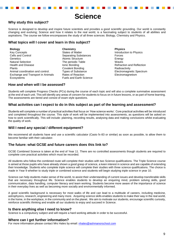### **Science**

#### **Why study this subject?**

Science is designed to develop and inspire future scientists and provides a good scientific grounding. Our world is constantly changing and evolving; Science and how it relates to the real world, is a fascinating subject to students of all abilities and aspirations. The course we follow encompasses the study of all three sciences: Biology, Chemistry and Physics.

#### **What topics will I cover and learn in this subject?**

**Biology** Key Concepts Cells and Control **Genetics** Natural Selection Health and Disease Plants Animal coordination and control. Exchange and Transport in Animals Ecosystems

**Chemistry** States of Matter Separating Substances Atomic Structure The periodic Table Ionic Bonding Covalent Bonding Types of Substance Rates of Reaction Fuels and Earth Science **Physics** Introduction to Physics Forces **Energy** Waves Refraction and Reflection Radioactivity Electromagnetic Spectrum Electromagnetism

#### **How and when will I be assessed?**

Students will complete Progress Checks (PCs) during the course of each topic and will also a complete summative assessment at the end of each unit. This will identify any areas of concern for students to focus on in future lessons, or as part of home learning. The assessments are tiered and consist of exam style questions.

#### **What activities can I expect to do in this subject as part of the learning and assessment?**

Students will complete a number of practical activities that focus on 'How science works'. Core practical activities will be introduced and completed throughout the course. This style of work will be implemented into assessments, as questions will be asked on how to work scientifically. This will include: planning, recording results, analysing data and making conclusions whilst evaluating the quality of work.

#### **Will I need any special / different equipment?**

We recommend all students have and use a scientific calculator (Casio fx-83 or similar) as soon as possible, to allow them to become familiar with their calculator.

#### **The future: what GCSE and future careers does this link to?**

GCSE Combined Science is taken at the end of Year 11. There are no controlled assessments though students are required to complete core practical activities which must be recorded.

All students who follow the combined route will complete their studies with two Science qualifications. The Triple Science course is aimed at those pupils who have already shown a good grasp of science, a keen interest in science and are capable of extending their knowledge. Students who complete triple science will complete their studies with three science qualifications. The choice is made in Year 9 whether to study triple or combined science and students will begin studying triple science in year 10.

Science can help students make sense of the world, to assist their understanding of current issues and develop transferable skills that are necessary throughout life. Science enables students to develop an enquiring mind, problem solving skills, good communication, data handling, computer literacy and team working. Students become more aware of the importance of science in their everyday lives as well as becoming more socially and environmentally informed.

A good scientific background is necessary for most walks of life and can lead to a multitude of careers, including medicine, astrophysics, research, engineering and many more. Acquiring science skills enables students to make their way in the real world, in the home, in the workplace, in the community and on the planet. We aim to motivate our students, encourage scientific curiosity, reinforce scientific thinking and enable all our students to enjoy and succeed in Science.

#### **Is there anything else I need to know?**

Science is a compulsory subject and will require a hard working attitude in order to be successful.

#### . **Where can I get further information?**

For more information please contact Mrs Hales by email: [nhales@ashmanorschool.com](mailto:nhales@ashmanorschool.com)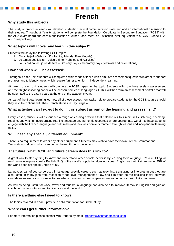### **French**

#### **Why study this subject?**

The study of French in Year 9 will develop students' practical communication skills and add an international dimension to their studies. Throughout Year 9, students will complete the Foundation Certificate in Secondary Education (FCSE) with the AQA exam board and earn a qualification at either Pass, Merit, or Distinction level, equivalent to a GCSE Grade 1, 2, and 3 respectively.

#### **What topics will I cover and learn in this subject?**

Students will study the following FCSE topics:

- 1. Qui suis-je? Who am I? (Family, Friends, Role Models)
- 2. Le temps des loisirs Leisure time (Hobbies and Activities)
- 3. Jours ordinaires, jours de fête Ordinary days, celebratory days (festivals and celebrations)

#### **How and when will I be assessed?**

Throughout each unit, students will complete a wide range of tasks which emulate assessment questions in order to support progress and to identify areas which require further attention in independent learning.

At the end of each unit, students will complete the FCSE papers for that topic. Students will sit the three levels of assessment and their highest scoring paper will be chosen from each language skill. This will then form an assessment portfolio that will be submitted to the exam board at the end of the academic year.

As part of the 5 year learning journey, all of these assessment tasks help to prepare students for the GCSE course should they wish to continue with their French studies in Key Stage 4.

#### **What activities can I expect to do in this subject as part of the learning and assessment?**

Every lesson, students will experience a range of learning activities that balance our four main skills: listening, speaking, reading, and writing. Incorporating real-life language and authentic resources where appropriate, we aim to have students engage with the French language and culture beyond the classroom environment through lessons and independent learning tasks.

#### **Will I need any special / different equipment?**

There is no requirement to order any other equipment. Students may wish to have their own French Grammar and Translation workbook which can be purchased through the school.

#### **The future: what GCSE and future careers does this link to?**

A great way to start getting to know and understand other people better is by learning their language. It's a multilingual world – not everyone speaks English. 94% of the world's population does not speak English as their first language. 75% of the world does not speak English at all.

Languages can of course be used in language-specific careers such as teaching, translating or interpreting but they are also useful in many jobs from reception to top-level management or law and can often be the deciding factor between candidates as well as in business trades where more and more companies are trading abroad with link companies.

As well as being useful for work, travel and tourism, a language can also help to improve literacy in English and gain an insight into other cultures and traditions around the world.

#### **Is there anything else I need to know?**

The topics covered in Year 9 provide a solid foundation for GCSE study.

#### **Where can I get further information?**

For more information please contact Mrs Roberts by email: [rroberts@ashmanorschool.com](mailto:rroberts@ashmanorschool.com)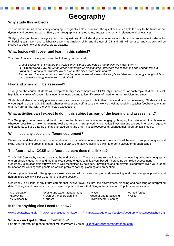### **Geography**

#### **Why study this subject?**

The world around us is constantly changing. Geography helps us answer the questions which hold the key to the future of our dynamic and developing world. Every day, Geography is all around us, impacting upon and relevant to all of our lives.

Studying Geography encourages you to ask questions. It will develop communication skills and is an excellent vehicle for embedding team work and collaborative working. Analysis skills and the use of ICT and GIS will be used and students will be inspired to become well rounded, global citizens.

#### **What topics will I cover and learn in this subject?**

The Year 9 course of study will cover the following units of study:

- Global Ecosystems: *What are the world's main biomes and how do humans interact with them?*
- Our Urban World: *How are urban areas around the world changing? What are the challenges and opportunities in urban areas around the world? How can we make cities more sustainable?*
- Resources: *How are resources distributed around the world? How is the supply and demand of energy changing? How can we make energy use more sustainable?*

#### **How and when will I be assessed?**

Throughout the course students will complete termly assessments with GCSE style questions for each topic studied. This will highlight any areas of concern for students to focus on and to identify areas of need for further revision and study.

Students will also extensively practise exam style questions as part of both their class work and home learning. Students will be encouraged to use the GCSE mark schemes to peer and self-assess their work as well as receiving teacher feedback to ensure that they are familiar with the exam board expectations.

#### **What activities can I expect to do in this subject as part of the learning and assessment?**

The Geography department work hard to ensure that lessons are active and engaging, bringing the outside into the classroom wherever possible to make the learning real and relevant. Group work and practical investigations are tied into topics regularly and students will use a range of maps, photographs and graph-based resources throughout their geographical studies.

#### **Will I need any special / different equipment?**

We recommend that all students have a calculator as part of their everyday equipment which will be used to support geographical skills, analysing and presenting data. Please speak to the Main Office if you wish to order a calculator through school.

#### **The future: what GCSE and future careers does this link to?**

The GCSE Geography exams are sat at the end of Year 11. There are three exams in total, one focusing on human geography, one on physical geography and the final exam being enquiry and fieldwork based. There is no controlled assessment. Geography is an academic study which is well recognised by colleges, universities and employers. Geography gives you a good foundation for working with people as well as problem solving, planning and presenting.

Career opportunities with Geography are extensive and with an ever changing and developing world, knowledge of physical and human interactions will put Geographers in pole position.

Geography is brilliant for any future careers that involve travel, culture, the environment, planning and collecting or interpreting data. The legal and business world also love the practical skills that Geographers develop. Popular careers include:

| *Conservation<br>*Waste and water management<br>*Aviation<br>*Weather and forecasting<br>*Surveying<br>*Police *<br>*Town or transport planning<br>*Sustainability<br>*Environmental planning<br>*Tourism |  |  |  | *Armed forces |
|-----------------------------------------------------------------------------------------------------------------------------------------------------------------------------------------------------------|--|--|--|---------------|
|-----------------------------------------------------------------------------------------------------------------------------------------------------------------------------------------------------------|--|--|--|---------------|

#### **Is there anything else I need to know?**

[www.geography.org.uk](http://www.geography.org.uk/) / [www.nationalgeographic.com](http://www.nationalgeographic.com/) / <http://www.aqa.org.uk/subjects/geography/gcse/geography-8035>

#### **Where can I get further information?**

For more information please contact Mr Roseveare by email: [BRoseveare@ashmanorschool.com](mailto:BRoseveare@ashmanorschool.com)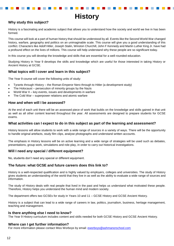### **History**

#### **Why study this subject?**

History is a fascinating and academic subject that allows you to understand how the society and world we live in has been formed.

This course will look at a part of human history that should be understood by all. Events like the Second World War changed history, warfare, geography and politics on an unimaginable scale. This course will give you a good understanding of this conflict. Characters like Adolf Hitler, Joseph Stalin, Winston Churchill, John F Kennedy and Martin Luther King Jr. have had a profound effect on the lives of millions. This course will help understand why these people are so significant today.

In this course you will develop the knowledge and skills that are essential for a well-rounded education.

Studying History in Year 9 develops the skills and knowledge which are useful for those interested in taking History or Ancient History at GCSE.

#### **What topics will I cover and learn in this subject?**

The Year 9 course will cover the following units of study:

- Tyrants through History the Roman Emperor Nero through to Hitler (a development study)
- The Holocaust persecution of minority groups by the Nazis
- World War II key events, issues and developments in warfare
- The Cold War superpower relations and atomic warfare

#### **How and when will I be assessed?**

At the end of each unit there will be an assessed piece of work that builds on the knowledge and skills gained in that unit as well as all other content learned throughout the year. All assessments are designed to prepare students for GCSE exams.

#### **What activities can I expect to do in this subject as part of the learning and assessment?**

History lessons will allow students to work with a wide range of sources in a variety of ways. There will be the opportunity to handle original artefacts, study film clips, analyse photographs and understand written accounts.

The emphasis in History lessons will be on active learning and a wide range of strategies will be used such as debates, presentations, group work, simulations and role-play, in order to carry out historical investigations.

#### **Will I need any special / different equipment?**

No, students don't need any special or different equipment.

#### **The future: what GCSE and future careers does this link to?**

History is a well-respected qualification and is highly valued by employers, colleges and universities. The study of History gives students an understanding of the world that they live in as well as the ability to evaluate a wide range of sources and information.

The study of History deals with real people that lived in the past and helps us understand what motivated these people. Therefore, History helps you understand the human mind and modern society.

The department offers two GCSEs for study in Years 10 and 11 – GCSE History and GCSE Ancient History.

History is a subject that can lead to a wide range of careers in law, politics, journalism, business, heritage management, teaching and management.

#### **Is there anything else I need to know?**

The Year 9 History curriculum includes content and skills needed for both GCSE History and GCSE Ancient History.

#### **Where can I get further information?**

For more information please contact Miss Worboys by email: **[eworboys@ashmanorschool.com](mailto:eworboys@ashmanorschool.com)**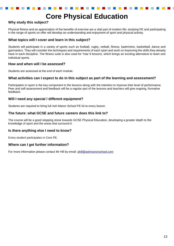### **Core Physical Education**

#### **Why study this subject?**

Physical fitness and an appreciation of the benefits of exercise are a vital part of modern life; studying PE and participating in the range of sports on offer will develop an understanding and enjoyment of sport and physical activity.

#### **What topics will I cover and learn in this subject?**

Students will participate in a variety of sports such as football, rugby, netball, fitness, badminton, basketball, dance and gymnastics. They will consider the techniques and requirements of each sport and work on improving the skills they already have in each discipline. The fitness suite is also used for Year 9 lessons, which brings an exciting alternative to team and individual sports.

#### **How and when will I be assessed?**

Students are assessed at the end of each module.

#### **What activities can I expect to do in this subject as part of the learning and assessment?**

Participation in sport is the key component in the lessons along with the intention to improve their level of performance. Peer and self-assessment and feedback will be a regular part of the lessons and teachers will give ongoing, formative feedback.

#### **Will I need any special / different equipment?**

Students are required to bring full Ash Manor School PE kit to every lesson.

#### **The future: what GCSE and future careers does this link to?**

The course will be a good stepping stone towards GCSE Physical Education, developing a greater depth to the knowledge of sport and the areas that surround it.

#### **Is there anything else I need to know?**

Every student participates in Core PE.

#### **Where can I get further information?**

For more information please contact Mr Hill by email: [ahill@ashmanorschool.com](mailto:ahill@ashmanorschool.com)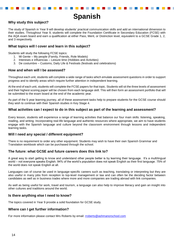### **Spanish**

#### **Why study this subject?**

The study of Spanish in Year 9 will develop students' practical communication skills and add an international dimension to their studies. Throughout Year 9, students will complete the Foundation Certificate in Secondary Education (FCSE) with the AQA exam board and earn a qualification at either Pass, Merit, or Distinction level, equivalent to a GCSE Grade 1, 2, and 3 respectively.

#### **What topics will I cover and learn in this subject?**

Students will study the following FCSE topics:

- 1. Mi Gente My people (Family, Friends, Role Models)
- 2. Intereses e influencias Leisure time (Hobbies and Activities)
- 3. De costumbre Customs, Daily Life & Festivals (festivals and celebrations)

#### **How and when will I be assessed?**

Throughout each unit, students will complete a wide range of tasks which emulate assessment questions in order to support progress and to identify areas which require further attention in independent learning.

At the end of each unit, students will complete the FCSE papers for that topic. Students will sit the three levels of assessment and their highest scoring paper will be chosen from each language skill. This will then form an assessment portfolio that will be submitted to the exam board at the end of the academic year.

As part of the 5 year learning journey, all of these assessment tasks help to prepare students for the GCSE course should they wish to continue with their Spanish studies in Key Stage 4.

#### **What activities can I expect to do in this subject as part of the learning and assessment?**

Every lesson, students will experience a range of learning activities that balance our four main skills: listening, speaking, reading, and writing. Incorporating real-life language and authentic resources where appropriate, we aim to have students engage with the Spanish language and culture beyond the classroom environment through lessons and independent learning tasks.

#### **Will I need any special / different equipment?**

There is no requirement to order any other equipment. Students may wish to have their own Spanish Grammar and Translation workbook which can be purchased through the school.

#### **The future: what GCSE and future careers does this link to?**

A great way to start getting to know and understand other people better is by learning their language. It's a multilingual world – not everyone speaks English. 94% of the world's population does not speak English as their first language. 75% of the world does not speak English at all.

Languages can of course be used in language-specific careers such as teaching, translating or interpreting but they are also useful in many jobs from reception to top-level management or law and can often be the deciding factor between candidates as well as in business trades where more and more companies are trading abroad with link companies.

As well as being useful for work, travel and tourism, a language can also help to improve literacy and gain an insight into other cultures and traditions around the world.

#### **Is there anything else I need to know?**

The topics covered in Year 9 provide a solid foundation for GCSE study.

#### **Where can I get further information?**

For more information please contact Mrs Roberts by email: [rroberts@ashmanorschool.com](mailto:rroberts@ashmanorschool.com)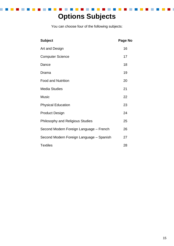### **Options Subjects**

You can choose four of the following subjects:

| <b>Subject</b>                           | Page No |
|------------------------------------------|---------|
| Art and Design                           | 16      |
| <b>Computer Science</b>                  | 17      |
| Dance                                    | 18      |
| Drama                                    | 19      |
| <b>Food and Nutrition</b>                | 20      |
| <b>Media Studies</b>                     | 21      |
| <b>Music</b>                             | 22      |
| <b>Physical Education</b>                | 23      |
| <b>Product Design</b>                    | 24      |
| Philosophy and Religious Studies         | 25      |
| Second Modern Foreign Language - French  | 26      |
| Second Modern Foreign Language - Spanish | 27      |
| <b>Textiles</b>                          | 28      |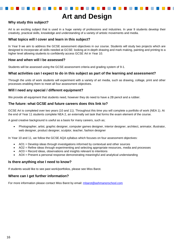### **Art and Design**

#### **Why study this subject?**

Art is an exciting subject that is used in a huge variety of professions and industries. In year 9 students develop their creativity, practical skills, knowledge and understanding of a variety of artistic movements and media.

#### **What topics will I cover and learn in this subject?**

In Year 9 we aim to address the GCSE assessment objectives in our course. Students will study two projects which are designed to incorporate all skills needed at GCSE: looking at in-depth drawing and mark making, painting and printing to a higher level allowing students to confidently access GCSE Art in Year 10.

#### **How and when will I be assessed?**

Students will be assessed using the GCSE assessment criteria and grading system of 9-1.

#### **What activities can I expect to do in this subject as part of the learning and assessment?**

Through the units of work students will experiment with a variety of art media, such as drawing, collage, print and other processes enabling them to meet all four assessment objectives.

#### **Will I need any special / different equipment?**

We provide all equipment that students need, however they do need to have a 2B pencil and a rubber.

#### **The future: what GCSE and future careers does this link to?**

GCSE Art is completed over two years (10 and 11). Throughout this time you will complete a portfolio of work (NEA 1). At the end of Year 11 students complete NEA 2, an externally set task that forms the exam element of the course.

A good creative background is useful as a basis for many careers, such as;

 Photographer, artist, graphic designer, computer games designer, interior designer, architect, animator, illustrator, web designer, product designer, sculptor, teacher, fashion designer

In Year 10 and 11, we follow the GCSE AQA syllabus which focuses on four assessment objectives:

- AO1 = Develop ideas through investigations informed by contextual and other sources
- AO2 = Refine ideas through experimenting and selecting appropriate resources, media and processes
- AO3 = Record ideas, observations and insights relevant to intentions
- AO4 = Present a personal response demonstrating meaningful and analytical understanding

#### **Is there anything else I need to know?**

If students would like to see past work/portfolios, please see Miss Barot.

#### **Where can I get further information?**

For more information please contact Miss Barot by email: [mbarot@ashmanorschool.com](mailto:mbarot@ashmanorschool.com)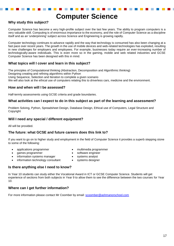### **Computer Science**

#### **Why study this subject?**

Computer Science has become a very high-profile subject over the last few years. The ability to program computers is a very valuable skill. Computing is of enormous importance to the economy, and the role of Computer Science as a discipline itself and as an 'underpinning' subject across Science and Engineering is growing rapidly.

Computer technology continues to advance rapidly and the way that technology is consumed has also been changing at a fast pace over recent years. The growth in the use of mobile devices and web-related technologies has exploded, resulting in new challenges for employers and employees. For example, businesses today require an ever-increasing number of technologically-aware individuals. This is even more so in the gaming, mobile and web related industries and GCSE Computer Science has been designed with this in mind.

#### **What topics will I cover and learn in this subject?**

The principles of Computational thinking (Abstraction, Decomposition and Algorithmic thinking) Designing creating and refining algorithms within Python Using Sequence, Selection and Iteration to complete a given scenario We will also look at the ethical use of computers relating this to driverless cars, medicine and the environment.

#### **How and when will I be assessed?**

Half-termly assessments using GCSE criteria and grade boundaries.

#### **What activities can I expect to do in this subject as part of the learning and assessment?**

Problem Solving, Python, Spreadsheet Design, Database Design, Ethical use of Computers, Legal Structure and Copyright

#### **Will I need any special / different equipment?**

All will be provided.

#### **The future: what GCSE and future careers does this link to?**

If you want to go on to higher study and employment in the field of Computer Science it provides a superb stepping stone to some of the following:

- applications programmer multimedia programmer
- games programmer software engineer
- information systems manager **and the systems analyst**
- information technology consultant  $\bullet$  systems designer
- 
- 
- -

#### **Is there anything else I need to know?**

In Year 10 students can study either the Vocational Award in ICT or GCSE Computer Science. Students will get experience of sections from both subjects in Year 9 to allow them to see the difference between the two courses for Year 10.

#### **Where can I get further information?**

For more information please contact Mr Coomber by email: [scoomber@ashmanorschool.com](mailto:scoomber@ashmanorschool.com)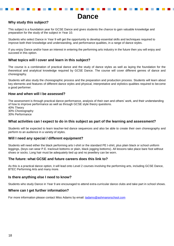### **Dance**

### **Why study this subject?**

This subject is a foundation year for GCSE Dance and gives students the chance to gain valuable knowledge and preparation for the study of the subject in Year 10.

Students who select Dance in Year 9 will get the opportunity to develop essential skills and techniques required to improve both their knowledge and understanding, and performance qualities, in a range of dance styles.

If you enjoy Dance and/or have an interest in entering the performing arts industry in the future then you will enjoy and succeed in this option.

#### **What topics will I cover and learn in this subject?**

The course is a combination of practical dance and the study of dance styles as well as laying the foundation for the theoretical and analytical knowledge required by GCSE Dance. The course will cover different genres of dance and choreography.

Students will also study the choreographic process and the preparation and production process. Students will learn about key elements and features of different dance styles and physical, interpretative and stylistics qualities required to become a good performer.

#### **How and when will I be assessed?**

The assessment is through practical dance performance, analysis of their own and others' work, and their understanding of how to improve performance as well as through GCSE style theory questions. 40% Theory

30% Choreography 30% Performance

#### **What activities can I expect to do in this subject as part of the learning and assessment?**

Students will be expected to learn teacher-led dance sequences and also be able to create their own choreography and perform to an audience in a variety of styles.

#### **Will I need any special / different equipment?**

Students will need either the black performing arts t-shirt or the standard PE t-shirt, plus plain black or school uniform leggings, (boys can wear P.E. tracksuit bottoms or plain, black jogging bottoms). All lessons take place bare foot without shoes or socks. Long hair must be adequately tied up and no jewellery can be worn.

#### **The future: what GCSE and future careers does this link to?**

As this is a practical dance option, it will lead onto Level 2 courses involving the performing arts, including GCSE Dance, BTEC Performing Arts and many more.

#### **Is there anything else I need to know?**

Students who study Dance in Year 9 are encouraged to attend extra-curricular dance clubs and take part in school shows.

#### **Where can I get further information?**

For more information please contact Miss Adams by email: [tadams@ashmanorschool.com](mailto:tadams@ashmanorschool.com)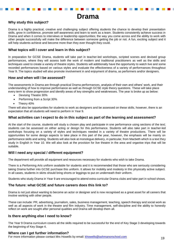### **Drama**

#### **Why study this subject?**

Drama is a highly practical, creative and challenging subject offering students the chance to develop their presentation skills, grow in confidence, promote self-awareness and learn to work as a team. Students consistently achieve success in Drama and when it comes to interviews or leadership opportunities; the way you come across and the ability to work with other people successfully will make the difference between someone getting the job or not. A fun, exciting subject and it will help students achieve and become more than they ever thought they could.

#### **What topics will I cover and learn in this subject?**

In preparation for GCSE Drama, students will take part in teacher-led workshops, scripted scenes and devised group performances, where they will assess both the work of modern and traditional practitioners as well as the skills and techniques used to create a variety of theatre styles. Students will additionally have the opportunity to watch live and some recorded performances based on various styles and evaluate the effectiveness of a variety of performances throughout Year 9. The topics studied will also promote involvement in and enjoyment of drama, as performers and/or designers.

#### **How and when will I be assessed?**

The assessments in Drama are through practical Drama performances, analysis of their own and others' work, and their understanding of how to improve performance as well as through GCSE style theory questions. These will take place every term to show progression and identify areas of key strengths and weaknesses. The year is broke up as below:

- Devising Theatre 30%
- Performing from a Script 30%
- Theory 40%

There will also be opportunities for students to work as designers and be assessed on these skills, however, there is an expectation that all students will need to perform in Year 9.

#### **What activities can I expect to do in this subject as part of the learning and assessment?**

At the start of the course, students will study a chosen play and participate in one performance using sections of the text; students can be assessed on either acting or design for this performance. Students will also take part in teacher-led workshops focusing on a variety of styles and techniques needed in a variety of theatre productions. There will be opportunities for some design aspects to take place in this part of the year, however, the emphasis will be mainly on performance skills and acting. Students will also look at monologue delivery, in particular, from Macbeth which is a text they study in English in Year 10. We will also look at the provision for live theatre in the area and organise trips that will be suitable.

#### **Will I need any special / different equipment?**

The department will provide all equipment and resources necessary for students who wish to take Drama.

There is a Performing Arts uniform available for students and it is recommended that those who are seriously considering taking Drama further into GCSE purchase this uniform. It allows for mobility and modesty in this physically active subject. In all cases, students in skirts should bring shorts or leggings to put on underneath their uniform.

Students who study Drama in Year 9 are encouraged to attend extra-curricular Drama clubs and take part in school shows.

#### **The future: what GCSE and future careers does this link to?**

Drama is not just about wanting to become an actor or designer and is now recognised as a great asset for all careers that involve working with other people.

These can include: PR, advertising, journalism, sales, business management, teaching, speech therapy and social work as well as all aspects of work in the theatre and film industry. Time management, self-discipline and the ability to honestly reflect on work are sought after personal qualities and Drama will develop them all.

#### **Is there anything else I need to know?**

The Year 9 Drama curriculum covers all the skills required to be successful for the end of Key Stage 3 developing towards the beginning of Key Stage 4.

#### **Where can I get further information?**

For more information please contact Mrs Howells by email: [khowells@ashmanorschool.com](mailto:khowells@ashmanorschool.com) 19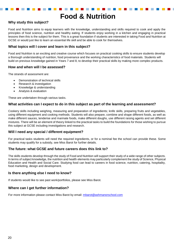### **Food & Nutrition**

#### **Why study this subject?**

Food and Nutrition aims to equip learners with the knowledge, understanding and skills required to cook and apply the principles of food science, nutrition and healthy eating. If students enjoy working in a kitchen and engaging in practical lessons then this is the subject for them. This is a great foundation if students are interested in taking Food and Nutrition at GCSE or would just like to learn an essential life skill and be able to cook for themselves.

#### **What topics will I cover and learn in this subject?**

Food and Nutrition is an exciting and creative course which focuses on practical cooking skills to ensure students develop a thorough understanding of nutrition, food provenance and the working characteristics of food materials. Students will build on previous knowledge gained in Years 7 and 8, to develop their practical skills by making more complex products.

#### **How and when will I be assessed?**

The strands of assessment are:

- Demonstration of technical skills
- Research & investigation
- Knowledge & understanding
- Analysis & evaluation

These are undertaken through various tasks.

#### **What activities can I expect to do in this subject as part of the learning and assessment?**

Cookery skills including weighing, measuring and preparation of ingredients; knife skills, preparing fruits and vegetables, using different equipment and cooking methods. Students will also prepare, combine and shape different foods, as well as make different sauces, tenderise and marinate foods, make different doughs, use different raising agents and set different mixtures. There will be an element of theory linked to the practical tasks to build the foundations for those wishing to pursue this subject at GCSE including investigations and research.

#### **Will I need any special / different equipment?**

For practical tasks students will need the required ingredients, or for a nominal fee the school can provide these. Some students may qualify for a subsidy, see Miss Barot for further details.

#### **The future: what GCSE and future careers does this link to?**

The skills students develop through the study of Food and Nutrition will support their study of a wide range of other subjects. In terms of subject knowledge, the nutrition and health elements may particularly complement the study of Science, Physical Education and Health and Social Care. Studying food can lead to careers in food science, nutrition, catering, hospitality, food marketing, design and development.

#### **Is there anything else I need to know?**

If students would like to see past work/portfolios, please see Miss Barot.

#### **Where can I get further information?**

For more information please contact Miss Barot by email: [mbarot@ashmanorschool.com](mailto:mbarot@ashmanorschool.com)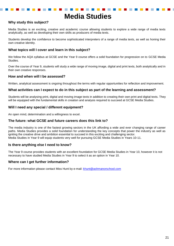### **Media Studies**

#### **Why study this subject?**

Media Studies is an exciting, creative and academic course allowing students to explore a wide range of media texts analytically, as well as developing their own skills as producers of media texts.

Students develop the confidence to become sophisticated interpreters of a range of media texts, as well as honing their own creative identity.

#### **What topics will I cover and learn in this subject?**

We follow the AQA syllabus at GCSE and the Year 9 course offers a solid foundation for progression on to GCSE Media Studies.

Over the course of Year 9, students will study a wide range of moving image, digital and print texts, both analytically and in their own creative responses.

#### **How and when will I be assessed?**

Written, analytical assessment is ongoing throughout the terms with regular opportunities for reflection and improvement.

#### **What activities can I expect to do in this subject as part of the learning and assessment?**

Students will be analysing print, digital and moving image texts in addition to creating their own print and digital texts. They will be equipped with the fundamental skills in creation and analysis required to succeed at GCSE Media Studies.

#### **Will I need any special / different equipment?**

An open mind, determination and a willingness to excel.

#### **The future: what GCSE and future careers does this link to?**

The media industry is one of the fastest growing sectors in the UK affording a wide and ever changing range of career paths. Media Studies provides a solid foundation for understanding the key concepts that power the industry as well as igniting the creative drive and ambition essential to succeed in this exciting and challenging sector. Media Studies in Year 9 will equip students very well for pursuing GCSE Media Studies in Years 10-11.

#### **Is there anything else I need to know?**

The Year 9 course provides students with an excellent foundation for GCSE Media Studies in Year 10, however it is not necessary to have studied Media Studies in Year 9 to select it as an option in Year 10.

#### **Where can I get further information?**

For more information please contact Miss Hunt by e-mail: [khunt@ashmanorschool.com](mailto:khunt@ashmanorschool.com)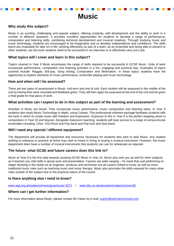### **Music**

#### **Why study this subject?**

Music is an exciting, challenging and popular subject, offering creativity, skill development and the ability to work in a number of different situations. It provides excellent opportunities for students to develop a range of performance, composition and listening skills, combining technical development and musical creativity. Through studying music and music technology, students are encouraged to be imaginative and so develop independence and confidence. The skills learnt are invaluable for later on in life: working effectively as part of a team, as an ensemble and being able to present to other students, are the tools students need to be successful in an interview or to effectively carry out a job.

#### **What topics will I cover and learn in this subject?**

Topics covered in Year 9 Music encompass the range of skills required to be successful in GCSE Music. Units of work incorporate performance, composition and listening activities in a fun, engaging and practical way. Examples of topics covered include: Reggae, Brit-pop, Song writing, Composition and Minimalism. In these topics students have the opportunity to explore elements of music performance, ensemble playing and music technology.

#### **How and when will I be assessed?**

There are two types of assessment in Music: mid-term and end of unit. Each student will be assessed in the middle of the unit by having their work recorded and feedback given. They will then again be assessed at the end of the unit and be given a final grade for that piece of work.

#### **What activities can I expect to do in this subject as part of the learning and assessment?**

Activities in Music are broad. They incorporate music performance, music composition and listening tasks. In Year 9 students also study Music Technology in depth, using Cubase. This professional software package facilitates students with the tools in which to create music with freedom and expression. Exposure to this in Year 9 is the perfect stepping stone to composition in Year 10 and beyond. Alongside classroom teaching, students will have access to a range of extracurricular ensembles including, Choir, KS3 Rock and Pop band and Pop funk and Soul band.

#### **Will I need any special / different equipment?**

The department will provide all equipment and resources necessary for students who wish to take Music. Any student wishing to rehearse or practice at home may wish to invest in hiring or buying a musical instrument. However, the music department does have a number of musical instruments that students can use for rehearsals as required.

#### **The future: what GCSE and future careers does this link to?**

Music at Year 9 is the first step towards studying GCSE Music in Year 10. Music also sets you up well for other subjects as it teaches you vital skills in group work and presentation. Careers are wide-ranging – it's more than just performing on stage! Working in the studio as an engineer, producer and technician are all careers linked to music as well as more traditional music roles such as teaching music and music therapy. Music also promotes the skills required for many other roles outside of the subject due to the practical nature of the course.

#### **Is there anything else I need to know?**

[www.aqa.org.uk/subjects/music/gcse/music-8271](http://www.aqa.org.uk/subjects/music/gcse/music-8271) / [www.bbc.co.uk/education/subjects/zmsvr82](http://www.bbc.co.uk/education/subjects/zmsvr82)

#### **Where can I get further information?**

For more information about Music, please contact Mr Carter by e-mail: [jcarter@ashmanorschool.com](mailto:jcarter@ashmanorschool.com)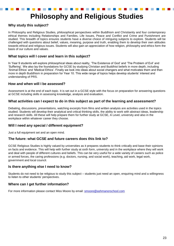## **Philosophy and Religious Studies**

#### **Why study this subject?**

In Philosophy and Religious Studies, philosophical perspectives within Buddhism and Christianity and four contemporary ethical themes including Relationships and Families, Life Issues, Peace and Conflict and Crime and Punishment are studied. This breadth of topics ensures students have a diverse choice of intriguing subjects to explore. Students will be challenged with questions about belief, values, meaning, purpose and truth, enabling them to develop their own attitudes towards ethical and religious issues. Students will also gain an appreciation of how religion, philosophy and ethics form the basis of our culture and values.

#### **What topics will I cover and learn in this subject?**

In Year 9 students will explore philosophical ideas about reality, 'The Existence of God' and 'The Problem of Evil' and 'Suffering'. We also lay the foundations for GCSE by studying Christian and Buddhist beliefs in more depth, including 'Animal Ethics' and 'Medical Ethics'. Finally we look into ideas about social changers and what motivates them and then more in depth Buddhism in preparation for Year 10. This wide range of topics helps develop students' interest and understanding of PRS.

#### **How and when will I be assessed?**

Assessment is at the end of each topic. It is set out in a GCSE style with the focus on preparation for answering questions at GCSE including skills in assessing knowledge, analysis and evaluation.

#### **What activities can I expect to do in this subject as part of the learning and assessment?**

Debating, discussions, presentations, watching excerpts from films and written analysis are activities used in the topics studied. Students will develop their analytical and critical thinking skills, the ability to work with abstract ideas, leadership and research skills. All these will help prepare them for further study at GCSE, A Level, university and also in the workplace within whatever career they choose.

#### **Will I need any special / different equipment?**

Just a full equipment set and an open mind.

#### **The future: what GCSE and future careers does this link to?**

GCSE Religious Studies is highly valued by universities as it prepares students to think critically and base their opinions on facts and evidence. This will help with further study at sixth form, university and in the workplace where they will work and deal with people of different cultures and beliefs. This can be very useful for a wide variety of careers such as police or armed forces, the caring professions (e.g. doctors, nursing, and social work), teaching, aid work, legal work, government and local council.

#### **Is there anything else I need to know?**

Students do not need to be religious to study this subject – students just need an open, enquiring mind and a willingness to listen to other students' perspectives.

#### **Where can I get further information?**

For more information please contact Miss Moore by email: [smoore@ashmanorschool.com](mailto:smoore@ashmanorschool.com)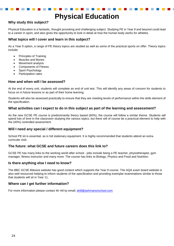### **Physical Education**

#### **Why study this subject?**

Physical Education is a fantastic, thought provoking and challenging subject. Studying PE in Year 9 and beyond could lead to a career in sport, and also gives the opportunity to look in detail at how the human body works for athletes.

#### **What topics will I cover and learn in this subject?**

As a Year 9 option, a range of PE theory topics are studied as well as some of the practical sports on offer. Theory topics include:

- Principles of Training
- Muscles and Bones
- Movement analysis
- Components of Fitness
- Sport Psychology
- Participation rates

#### **How and when will I be assessed?**

At the end of every unit, students will complete an end of unit test. This will identify any areas of concern for students to focus on in future lessons or as part of their home learning.

Students will also be assessed practically to ensure that they are meeting levels of performance within the skills element of the specification.

#### **What activities can I expect to do in this subject as part of the learning and assessment?**

As the new GCSE PE course is predominantly theory based (60%), the course will follow a similar theme. Students will spend lots of time in the classroom studying the various topics, but there will of course be a practical element to help with the (40%) controlled assessment.

#### **Will I need any special / different equipment?**

School PE kit is essential, as is full stationary equipment. It is highly recommended that students attend an extracurricular club.

#### **The future: what GCSE and future careers does this link to?**

GCSE PE has many links to the working world after school - jobs include being a PE teacher, physiotherapist, gym manager, fitness instructor and many more. The course has links to Biology, Physics and Food and Nutrition.

#### **Is there anything else I need to know?**

The BBC GCSE Bitesize website has good content which supports the Year 9 course. The AQA exam board website is also well resourced helping to inform students of the specification and providing exemplar examinations similar to those that students will sit in Year 11.

#### **Where can I get further information?**

For more information please contact Mr Hill by email: [ahill@ashmanorschool.com](mailto:ahill@ashmanorschool.com)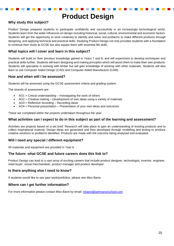### **Product Design**

#### **Why study this subject?**

Product Design prepares students to participate confidently and successfully in an increasingly technological world. Students learn from the wider influences on design including historical, social, cultural, environmental and economic factors. Students will get the opportunity to work creatively to identify and solve real problems to make different products through designing, and applying technical and practical skills. Studying Product Design not only provides students with a foundation to continue their study at GCSE but also equips them with essential life skills.

#### **What topics will I cover and learn in this subject?**

Students will build on their previous knowledge gained in Years 7 and 8, and will experiment to develop techniques and practical skills further. Students will learn designing and making principles which will assist them to make their own products. Students will specialise in working with timber but will gain knowledge of working with other materials. Students will also learn to use Computer Aided Design (CAD) and Computer Aided Manufacture (CAM).

#### **How and when will I be assessed?**

Students will be assessed using the GCSE assessment criteria and grading system.

The strands of assessment are:

- AO1 = Critical understanding Investigating the work of others
- AO2 = Creative making Development of own ideas using a variety of materials
- AO3 = Reflective recording Recording ideas
- AO4 = Personal presentation Presentation of your own ideas and outcomes

These are completed within the projects undertaken throughout the year.

#### **What activities can I expect to do in this subject as part of the learning and assessment?**

Activities are projects based on a set brief. Research will take place to gain an understanding of existing products and to collect inspirational material. Design ideas are generated and then developed through modelling and testing to produce creative solutions to problems identified. Products are made with the outcome being analysed and evaluated.

#### **Will I need any special / different equipment?**

All materials and equipment are provided in Year 9.

#### **The future: what GCSE and future careers does this link to?**

Product Design can lead to a vast array of exciting careers that include product designer, technologist, inventor, engineer, retail buyer, visual merchandiser, product manager and product developer.

#### **Is there anything else I need to know?**

If students would like to see past work/portfolios, please see Miss Barot.

#### **Where can I get further information?**

For more information please contact Miss Barot by email: [mbarot@ashmanorschool.com](mailto:mbarot@ashmanorschool.com)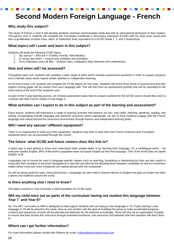# **Second Modern Foreign Language - French**

#### **Why study this subject?**

The study of French in Year 9 will develop students' practical communication skills and add an international dimension to their studies. Throughout Year 9, students will complete the Foundation Certificate in Secondary Education (FCSE) with the AQA exam board and earn a qualification at either Pass, Merit, or Distinction level, equivalent to a GCSE Grade 1, 2, and 3 respectively.

#### **What topics will I cover and learn in this subject?**

Students will study the following FCSE topics:

- 1. Qui suis-je? Who am I? (Family, Friends, Role Models)
- 2. Le temps des loisirs Leisure time (Hobbies and Activities)
- 3. Jours ordinaires, jours de fête Ordinary days, celebratory days (festivals and celebrations)

#### **How and when will I be assessed?**

Throughout each unit, students will complete a wide range of tasks which emulate assessment questions in order to support progress and to identify areas which require further attention in independent learning.

At the end of each unit, students will complete the FCSE papers for that topic. Students will sit the three levels of assessment and their highest scoring paper will be chosen from each language skill. This will then form an assessment portfolio that will be submitted to the exam board at the end of the academic year.

As part of the 5 year learning journey, all of these assessment tasks help to prepare students for the GCSE course should they wish to continue with their French studies in Key Stage 4.

#### **What activities can I expect to do in this subject as part of the learning and assessment?**

Every lesson, students will experience a range of learning activities that balance our four main skills: listening, speaking, reading, and writing. Incorporating real-life language and authentic resources where appropriate, we aim to have students engage with the French language and culture beyond the classroom environment through lessons and independent learning tasks.

#### **Will I need any special / different equipment?**

There is no requirement to order any other equipment. Students may wish to have their own French Grammar and Translation workbook which can be purchased through the school.

#### **The future: what GCSE and future careers does this link to?**

A great way to start getting to know and understand other people better is by learning their language. It's a multilingual world – not everyone speaks English. 94% of the world's population does not speak English as their first language. 75% of the world does not speak English at all.

Languages can of course be used in language-specific careers such as teaching, translating or interpreting but they are also useful in many jobs from reception to top-level management or law and can often be the deciding factor between candidates as well as in business trades where more and more companies are trading abroad with link companies.

As well as being useful for work, travel and tourism, a language can also help to improve literacy in English and gain an insight into other cultures and traditions around the world.

#### **Is there anything else I need to know?**

The topics covered in Year 9 provide a solid foundation for GCSE study.

#### **Will my child miss out on parts of the curriculum having not studied this language between Year 7 and Year 8?**

No. The MFL curriculum at AMS is designed to help support students who are taking a new language in Y9. Pupils starting a new language in Y9 will be placed in the same class as one another with the goal of enabling this group to make accelerated progress. Lessons and sequences of work will be planned and delivered by the teachers accordingly. There will also be an expectation of pupils to ensure that they access the curriculum through extended homework, and resources and websites that their teachers will direct them to.

#### **Where can I get further information?**

For more information please contact Mrs Roberts by email: [rroberts@ashmanorschool.com](mailto:rroberts@ashmanorschool.com)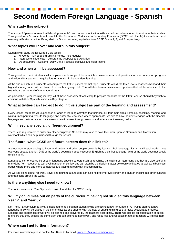## **Second Modern Foreign Language - Spanish**

#### **Why study this subject?**

The study of Spanish in Year 9 will develop students' practical communication skills and add an international dimension to their studies. Throughout Year 9, students will complete the Foundation Certificate in Secondary Education (FCSE) with the AQA exam board and earn a qualification at either Pass, Merit, or Distinction level, equivalent to a GCSE Grade 1, 2, and 3 respectively.

#### **What topics will I cover and learn in this subject?**

Students will study the following FCSE topics:

- 1. Mi Gente My people (Family, Friends, Role Models)
- 2. Intereses e influencias Leisure time (Hobbies and Activities)
- 3. De costumbre Customs, Daily Life & Festivals (festivals and celebrations)

#### **How and when will I be assessed?**

Throughout each unit, students will complete a wide range of tasks which emulate assessment questions in order to support progress and to identify areas which require further attention in independent learning.

At the end of each unit, students will complete the FCSE papers for that topic. Students will sit the three levels of assessment and their highest scoring paper will be chosen from each language skill. This will then form an assessment portfolio that will be submitted to the exam board at the end of the academic year.

As part of the 5 year learning journey, all of these assessment tasks help to prepare students for the GCSE course should they wish to continue with their Spanish studies in Key Stage 4.

#### **What activities can I expect to do in this subject as part of the learning and assessment?**

Every lesson, students will experience a range of learning activities that balance our four main skills: listening, speaking, reading, and writing. Incorporating real-life language and authentic resources where appropriate, we aim to have students engage with the Spanish language and culture beyond the classroom environment through lessons and independent learning tasks.

#### **Will I need any special / different equipment?**

There is no requirement to order any other equipment. Students may wish to have their own Spanish Grammar and Translation workbook which can be purchased through the school.

#### **The future: what GCSE and future careers does this link to?**

A great way to start getting to know and understand other people better is by learning their language. It's a multilingual world – not everyone speaks English. 94% of the world's population does not speak English as their first language. 75% of the world does not speak English at all.

Languages can of course be used in language-specific careers such as teaching, translating or interpreting but they are also useful in many jobs from reception to top-level management or law and can often be the deciding factor between candidates as well as in business trades where more and more companies are trading abroad with link companies.

As well as being useful for work, travel and tourism, a language can also help to improve literacy and gain an insight into other cultures and traditions around the world.

#### **Is there anything else I need to know?**

The topics covered in Year 9 provide a solid foundation for GCSE study.

#### **Will my child miss out on parts of the curriculum having not studied this language between Year 7 and Year 8?**

No. The MFL curriculum at AMS is designed to help support students who are taking a new language in Y9. Pupils starting a new language in Y9 will be placed in the same class as one another with the goal of enabling this group to make accelerated progress. Lessons and sequences of work will be planned and delivered by the teachers accordingly. There will also be an expectation of pupils to ensure that they access the curriculum through extended homework, and resources and websites that their teachers will direct them to.

#### **Where can I get further information?**

For more information please contact Mrs Roberts by email: [rroberts@ashmanorschool.com](mailto:rroberts@ashmanorschool.com)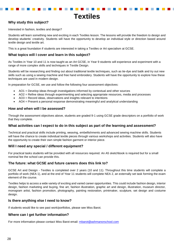### **Textiles**

### **Why study this subject?**

Interested in fashion, textiles and design?

Students will learn something new and exciting in each Textiles lesson. The lessons will provide the freedom to design and develop students' creativity. Students will have the opportunity to develop an individual style or direction based around textile design and textile art.

This is a great foundation if students are interested in taking a Textiles or Art specialism at GCSE.

#### **What topics will I cover and learn in this subject?**

As Textiles in Year 10 and 11 is now taught as an Art GCSE, in Year 9 students will experience and experiment with a range of more complex skills and techniques in Textile Design.

Students will be researching and finding out about traditional textile techniques, such as tie-dye and batik and try out new skills such as using a sewing machine and free hand embroidery. Students will have the opportunity to explore how these techniques are used in modern design.

In preparation for GCSE, we use and follow the following four assessment objectives:

- AO1 = Develop ideas through investigations informed by contextual and other sources
- AO2 = Refine ideas through experimenting and selecting appropriate resources, media and processes
- AO3 = Record ideas, observations and insights relevant to intentions
- AO4 = Present a personal response demonstrating meaningful and analytical understanding

#### **How and when will I be assessed?**

Through the assessment objectives above, students are graded 9-1 using GCSE grade descriptors on a portfolio of work that they complete.

#### **What activities can I expect to do in this subject as part of the learning and assessment?**

Technical and practical skills include printing, weaving, embellishments and advanced sewing machine skills. Students will have the chance to create individual textile pieces through various workshops and activities. Students will also have the opportunity to create their own simple fashion garment or interior piece.

#### **Will I need any special / different equipment?**

For practical tasks students will be provided with all resources required. An A5 sketchbook is required but for a small nominal fee the school can provide this.

#### **The future: what GCSE and future careers does this link to?**

GCSE Art and Design - Textiles is completed over 2 years (10 and 11). Throughout this time students will complete a portfolio of work (NEA 1), and at the end of Year 11 students will complete NEA 2, an externally set task forming the exam element of the course.

Textiles helps to access a wide variety of exciting and varied career opportunities. This could include fashion design, interior design, fashion marketing and buying, fine art, fashion illustration, graphic art and design, illustration, museum director, monogram artist, fashion promotion, photography, painting restoration, printmaker, sculpture, set design and costume design.

#### **Is there anything else I need to know?**

If students would like to see past work/portfolios, please see Miss Barot.

#### **Where can I get further information?**

For more information please contact Miss Barot email: [mbarot@ashmanorschool.com](mailto:mbarot@ashmanorschool.com)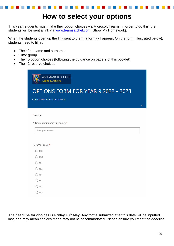### **How to select your options**

This year, students must make their option choices via Microsoft Teams. In order to do this, the students will be sent a link via [www.teamsatchel.com](http://www.teamsatchel.com/) (Show My Homework).

When the students open up the link sent to them, a form will appear. On the form (illustrated below), students need to fill in:

- Their first name and surname
- Tutor group
- Their 5 option choices (following the guidance on page 2 of this booklet)
- Their 2 reserve choices

| ASH MANOR SCHOOL<br>Aspire & Achieve |          |
|--------------------------------------|----------|
| OPTIONS FORM FOR YEAR 9 2022 - 2023  |          |
| Options form for Year 8 into Year 9  |          |
|                                      | $\cdots$ |
| * Required                           |          |
| 1. Name (First name, Surname) *      |          |
| Enter your answer                    |          |
|                                      |          |
| 2. Tutor Group *                     |          |
| 8G1                                  |          |
| 8G2                                  |          |
| 8P1                                  |          |
| 8P2                                  |          |
| 8S1                                  |          |
| <b>8S2</b>                           |          |
| 8V1                                  |          |
| 8V2                                  |          |

**The deadline for choices is Friday 13th May.** Any forms submitted after this date will be inputted last, and may mean choices made may not be accommodated. Please ensure you meet the deadline.